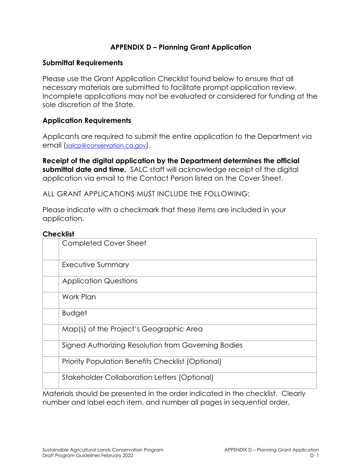# **APPENDIX D – Planning Grant Application**

#### **Submittal Requirements**

Please use the Grant Application Checklist found below to ensure that all necessary materials are submitted to facilitate prompt application review. Incomplete applications may not be evaluated or considered for funding at the sole discretion of the State.

### **Application Requirements**

Applicants are required to submit the entire application to the Department via email [\(salcp@conservation.ca.gov\)](mailto:salcp@conservation.ca.gov).

**Receipt of the digital application by the Department determines the official submittal date and time.** SALC staff will acknowledge receipt of the digital application via email to the Contact Person listed on the Cover Sheet.

ALL GRANT APPLICATIONS MUST INCLUDE THE FOLLOWING:

Please indicate with a checkmark that these items are included in your application.

#### **Checklist**

| ᄓᄖᄓ៴ᅬ                                               |  |  |  |  |  |
|-----------------------------------------------------|--|--|--|--|--|
| <b>Completed Cover Sheet</b>                        |  |  |  |  |  |
| Executive Summary                                   |  |  |  |  |  |
| <b>Application Questions</b>                        |  |  |  |  |  |
| Work Plan                                           |  |  |  |  |  |
| <b>Budget</b>                                       |  |  |  |  |  |
| Map(s) of the Project's Geographic Area             |  |  |  |  |  |
| Signed Authorizing Resolution from Governing Bodies |  |  |  |  |  |
| Priority Population Benefits Checklist (Optional)   |  |  |  |  |  |
| <b>Stakeholder Collaboration Letters (Optional)</b> |  |  |  |  |  |
|                                                     |  |  |  |  |  |

Materials should be presented in the order indicated in the checklist. Clearly number and label each item, and number all pages in sequential order.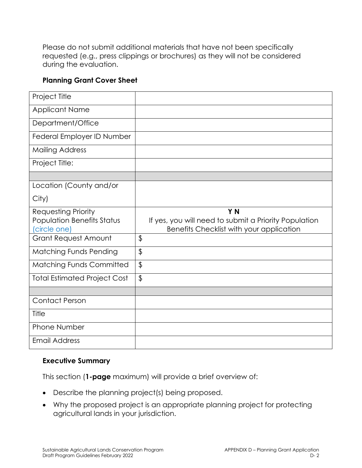Please do not submit additional materials that have not been specifically requested (e.g., press clippings or brochures) as they will not be considered during the evaluation.

# **Planning Grant Cover Sheet**

| Project Title                       |                                                       |
|-------------------------------------|-------------------------------------------------------|
| <b>Applicant Name</b>               |                                                       |
| Department/Office                   |                                                       |
| Federal Employer ID Number          |                                                       |
| <b>Mailing Address</b>              |                                                       |
| Project Title:                      |                                                       |
|                                     |                                                       |
| Location (County and/or             |                                                       |
| City)                               |                                                       |
| <b>Requesting Priority</b>          | Y N                                                   |
| <b>Population Benefits Status</b>   | If yes, you will need to submit a Priority Population |
|                                     |                                                       |
| (circle one)                        | Benefits Checklist with your application              |
| <b>Grant Request Amount</b>         | \$                                                    |
| <b>Matching Funds Pending</b>       | $\frac{1}{2}$                                         |
| Matching Funds Committed            | $\boldsymbol{\theta}$                                 |
| <b>Total Estimated Project Cost</b> | \$                                                    |
|                                     |                                                       |
| <b>Contact Person</b>               |                                                       |
| Title                               |                                                       |
| <b>Phone Number</b>                 |                                                       |

### **Executive Summary**

This section (**1-page** maximum) will provide a brief overview of:

- Describe the planning project(s) being proposed.
- Why the proposed project is an appropriate planning project for protecting agricultural lands in your jurisdiction.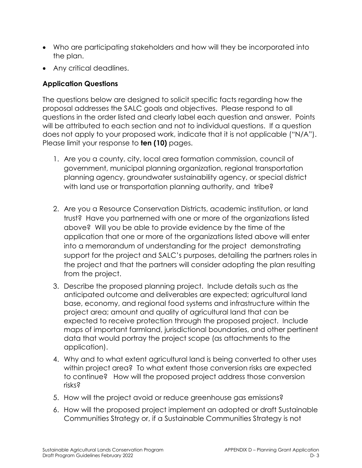- Who are participating stakeholders and how will they be incorporated into the plan.
- Any critical deadlines.

# **Application Questions**

The questions below are designed to solicit specific facts regarding how the proposal addresses the SALC goals and objectives. Please respond to all questions in the order listed and clearly label each question and answer. Points will be attributed to each section and not to individual questions. If a question does not apply to your proposed work, indicate that it is not applicable ("N/A"). Please limit your response to **ten (10)** pages.

- 1. Are you a county, city, local area formation commission, council of government, municipal planning organization, regional transportation planning agency, groundwater sustainability agency, or special district with land use or transportation planning authority, and tribe?
- 2. Are you a Resource Conservation Districts, academic institution, or land trust? Have you partnerned with one or more of the organizations listed above? Will you be able to provide evidence by the time of the application that one or more of the organizations listed above will enter into a memorandum of understanding for the project demonstrating support for the project and SALC's purposes, detailing the partners roles in the project and that the partners will consider adopting the plan resulting from the project.
- 3. Describe the proposed planning project. Include details such as the anticipated outcome and deliverables are expected; agricultural land base, economy, and regional food systems and infrastructure within the project area; amount and quality of agricultural land that can be expected to receive protection through the proposed project. Include maps of important farmland, jurisdictional boundaries, and other pertinent data that would portray the project scope (as attachments to the application).
- 4. Why and to what extent agricultural land is being converted to other uses within project area? To what extent those conversion risks are expected to continue? How will the proposed project address those conversion risks?
- 5. How will the project avoid or reduce greenhouse gas emissions?
- 6. How will the proposed project implement an adopted or draft Sustainable Communities Strategy or, if a Sustainable Communities Strategy is not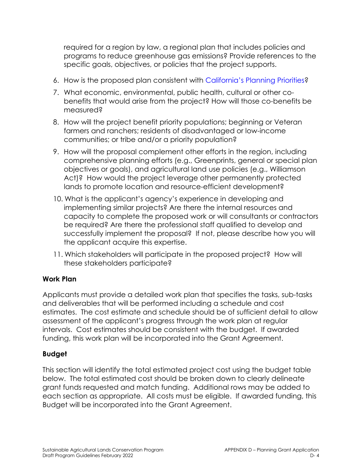required for a region by law, a regional plan that includes policies and programs to reduce greenhouse gas emissions? Provide references to the specific goals, objectives, or policies that the project supports.

- 6. How is the proposed plan consistent with California's Planning Priorities?
- 7. What economic, environmental, public health, cultural or other cobenefits that would arise from the project? How will those co-benefits be measured?
- 8. How will the project benefit priority populations; beginning or Veteran farmers and ranchers; residents of disadvantaged or low-income communities; or tribe and/or a priority population?
- 9. How will the proposal complement other efforts in the region, including comprehensive planning efforts (e.g., Greenprints, general or special plan objectives or goals), and agricultural land use policies (e.g., Williamson Act)? How would the project leverage other permanently protected lands to promote location and resource-efficient development?
- 10. What is the applicant's agency's experience in developing and implementing similar projects? Are there the internal resources and capacity to complete the proposed work or will consultants or contractors be required? Are there the professional staff qualified to develop and successfully implement the proposal? If not, please describe how you will the applicant acquire this expertise.
- 11. Which stakeholders will participate in the proposed project? How will these stakeholders participate?

### **Work Plan**

Applicants must provide a detailed work plan that specifies the tasks, sub-tasks and deliverables that will be performed including a schedule and cost estimates. The cost estimate and schedule should be of sufficient detail to allow assessment of the applicant's progress through the work plan at regular intervals. Cost estimates should be consistent with the budget. If awarded funding, this work plan will be incorporated into the Grant Agreement.

### **Budget**

This section will identify the total estimated project cost using the budget table below. The total estimated cost should be broken down to clearly delineate grant funds requested and match funding. Additional rows may be added to each section as appropriate. All costs must be eligible. If awarded funding, this Budget will be incorporated into the Grant Agreement.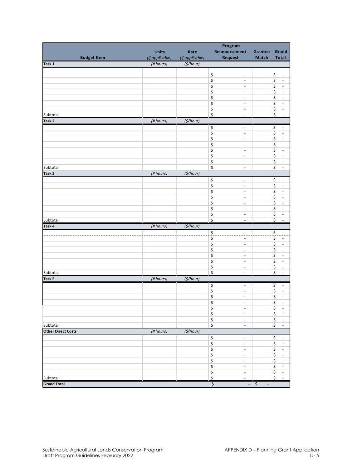|                                               | Program         |                 |                                                                 |                                    |                                                                 |  |  |
|-----------------------------------------------|-----------------|-----------------|-----------------------------------------------------------------|------------------------------------|-----------------------------------------------------------------|--|--|
|                                               | <b>Units</b>    | Rate            | Reimbursement                                                   | Grantee                            | Grand                                                           |  |  |
| <b>Budget Item</b>                            | (if applicable) | (if applicable) | <b>Request</b>                                                  | <b>Match</b>                       | <b>Total</b>                                                    |  |  |
| Task 1                                        | (#hours)        | $($ \$/hour)    |                                                                 |                                    |                                                                 |  |  |
|                                               |                 |                 |                                                                 |                                    |                                                                 |  |  |
|                                               |                 |                 | \$<br>$\overline{\phantom{a}}$                                  |                                    | \$<br>$\overline{\phantom{a}}$                                  |  |  |
|                                               |                 |                 | \$<br>$\overline{\phantom{a}}$                                  |                                    | $\boldsymbol{\zeta}$<br>$\overline{\phantom{a}}$                |  |  |
|                                               |                 |                 | \$<br>$\overline{\phantom{a}}$                                  |                                    | \$<br>$\bar{\phantom{a}}$                                       |  |  |
|                                               |                 |                 | \$<br>$\overline{\phantom{a}}$                                  |                                    | $\boldsymbol{\zeta}$<br>$\Box$                                  |  |  |
|                                               |                 |                 | \$<br>$\overline{\phantom{a}}$                                  |                                    | $\boldsymbol{\zeta}$<br>$\overline{\phantom{a}}$                |  |  |
|                                               |                 |                 | \$<br>$\overline{\phantom{a}}$                                  |                                    | $\boldsymbol{\zeta}$<br>÷,                                      |  |  |
|                                               |                 |                 | \$<br>$\overline{\phantom{a}}$                                  |                                    | \$<br>$\overline{\phantom{a}}$                                  |  |  |
| Subtotal                                      |                 |                 | \$<br>÷                                                         |                                    | \$<br>$\overline{\phantom{a}}$                                  |  |  |
| Task <sub>2</sub><br>$($ \$/hour)<br>(#hours) |                 |                 |                                                                 |                                    |                                                                 |  |  |
|                                               |                 |                 | \$<br>$\blacksquare$                                            |                                    | $\boldsymbol{\mathsf{S}}$<br>$\blacksquare$                     |  |  |
|                                               |                 |                 | \$<br>$\overline{\phantom{a}}$                                  |                                    | \$<br>$\overline{\phantom{a}}$                                  |  |  |
|                                               |                 |                 | \$<br>$\overline{\phantom{a}}$                                  |                                    | \$<br>÷,                                                        |  |  |
|                                               |                 |                 | \$<br>$\overline{\phantom{a}}$                                  |                                    | \$<br>$\overline{\phantom{a}}$                                  |  |  |
|                                               |                 |                 | \$<br>$\overline{\phantom{a}}$                                  |                                    | \$<br>÷,                                                        |  |  |
|                                               |                 |                 | \$<br>$\overline{\phantom{a}}$                                  |                                    | \$<br>$\Box$                                                    |  |  |
|                                               |                 |                 | \$<br>$\overline{\phantom{a}}$                                  |                                    | \$<br>$\overline{\phantom{a}}$                                  |  |  |
| Subtotal                                      |                 |                 | \$<br>$\overline{\phantom{a}}$                                  |                                    | $\boldsymbol{\zeta}$<br>$\overline{\phantom{a}}$                |  |  |
| Task <sub>3</sub>                             | (#hours)        | $($ \$/hour $)$ |                                                                 |                                    |                                                                 |  |  |
|                                               |                 |                 | \$<br>$\overline{\phantom{a}}$                                  |                                    | \$<br>$\overline{\phantom{a}}$                                  |  |  |
|                                               |                 |                 | \$<br>$\overline{\phantom{a}}$                                  |                                    | \$<br>$\Box$                                                    |  |  |
|                                               |                 |                 | \$<br>$\overline{\phantom{a}}$                                  |                                    | \$<br>$\overline{\phantom{a}}$                                  |  |  |
|                                               |                 |                 | \$<br>$\overline{\phantom{a}}$                                  |                                    | \$<br>$\bar{\phantom{a}}$                                       |  |  |
|                                               |                 |                 | \$<br>$\overline{\phantom{a}}$                                  |                                    | \$<br>$\overline{\phantom{a}}$                                  |  |  |
|                                               |                 |                 | \$<br>$\overline{\phantom{a}}$                                  |                                    | \$<br>$\Box$                                                    |  |  |
|                                               |                 |                 | \$<br>$\overline{\phantom{a}}$                                  |                                    | $\boldsymbol{\zeta}$<br>$\overline{\phantom{a}}$                |  |  |
| Subtotal                                      |                 |                 | $\overline{\boldsymbol{\varsigma}}$<br>$\overline{\phantom{a}}$ |                                    | $\boldsymbol{\dot{\varsigma}}$<br>$\Box$                        |  |  |
| Task 4                                        | (#hours)        | $($ \$/hour)    |                                                                 |                                    |                                                                 |  |  |
|                                               |                 |                 |                                                                 |                                    |                                                                 |  |  |
|                                               |                 |                 | $\frac{1}{2}$<br>$\overline{\phantom{a}}$<br>4                  |                                    | $\frac{1}{2}$<br>Ė,                                             |  |  |
|                                               |                 |                 | \$<br>٠                                                         |                                    | $\overline{\boldsymbol{\varsigma}}$<br>$\overline{\phantom{a}}$ |  |  |
|                                               |                 |                 | \$<br>$\overline{\phantom{a}}$                                  |                                    | \$<br>$\overline{\phantom{a}}$                                  |  |  |
|                                               |                 |                 | \$<br>$\overline{\phantom{a}}$                                  |                                    | \$<br>÷,                                                        |  |  |
|                                               |                 |                 | \$<br>$\overline{\phantom{a}}$                                  |                                    | \$<br>÷,                                                        |  |  |
|                                               |                 |                 | \$<br>$\overline{\phantom{a}}$                                  |                                    | $\boldsymbol{\zeta}$<br>$\Box$                                  |  |  |
|                                               |                 |                 | \$<br>$\overline{\phantom{a}}$                                  |                                    | \$<br>$\overline{\phantom{a}}$                                  |  |  |
| Subtotal                                      |                 |                 | \$<br>÷,                                                        |                                    | \$<br>$\Box$                                                    |  |  |
| Task 5                                        | (#hours)        | (5/hour)        |                                                                 |                                    |                                                                 |  |  |
|                                               |                 |                 | \$<br>$\overline{\phantom{a}}$                                  |                                    | \$<br>$\overline{\phantom{a}}$                                  |  |  |
|                                               |                 |                 | \$<br>$\overline{\phantom{a}}$                                  |                                    | \$<br>$\overline{\phantom{a}}$                                  |  |  |
|                                               |                 |                 | \$<br>$\overline{\phantom{a}}$                                  |                                    | $\boldsymbol{\mathsf{S}}$<br>$\Box$                             |  |  |
|                                               |                 |                 | \$<br>$\overline{\phantom{a}}$                                  |                                    | \$<br>$\overline{\phantom{a}}$                                  |  |  |
|                                               |                 |                 | \$<br>$\overline{\phantom{a}}$                                  |                                    | \$<br>$\sim$                                                    |  |  |
|                                               |                 |                 | \$<br>$\overline{\phantom{a}}$                                  |                                    | $\boldsymbol{\zeta}$<br>$\mathbb{Z}^2$                          |  |  |
|                                               |                 |                 | \$<br>$\overline{\phantom{a}}$                                  |                                    | \$<br>$\overline{\phantom{a}}$                                  |  |  |
| Subtotal                                      |                 |                 | $\boldsymbol{\zeta}$<br>$\overline{\phantom{a}}$                |                                    | \$<br>$\overline{\phantom{a}}$                                  |  |  |
| <b>Other Direct Costs</b>                     | $(H$ hours)     | (5/hour)        |                                                                 |                                    |                                                                 |  |  |
|                                               |                 |                 | \$<br>$\overline{\phantom{a}}$                                  |                                    | \$<br>$\overline{\phantom{a}}$                                  |  |  |
|                                               |                 |                 | \$<br>$\overline{\phantom{a}}$                                  |                                    | \$<br>$\sim$                                                    |  |  |
|                                               |                 |                 | \$<br>$\overline{\phantom{a}}$                                  |                                    | \$<br>$\sim$                                                    |  |  |
|                                               |                 |                 | \$<br>$\overline{\phantom{a}}$                                  |                                    | \$<br>$\overline{\phantom{a}}$                                  |  |  |
|                                               |                 |                 | \$<br>$\overline{\phantom{a}}$                                  |                                    | \$<br>$\sim$                                                    |  |  |
|                                               |                 |                 | \$<br>$\overline{\phantom{a}}$                                  |                                    | \$<br>$\overline{\phantom{a}}$                                  |  |  |
|                                               |                 |                 | \$<br>$\sim$                                                    |                                    | \$<br>$\sim$                                                    |  |  |
| Subtotal                                      |                 |                 | \$<br>$\overline{\phantom{0}}$                                  |                                    | \$<br>$\sim$                                                    |  |  |
| <b>Grand Total</b>                            |                 |                 | \$<br>$\sim$                                                    | \$<br>$\qquad \qquad \blacksquare$ |                                                                 |  |  |
|                                               |                 |                 |                                                                 |                                    |                                                                 |  |  |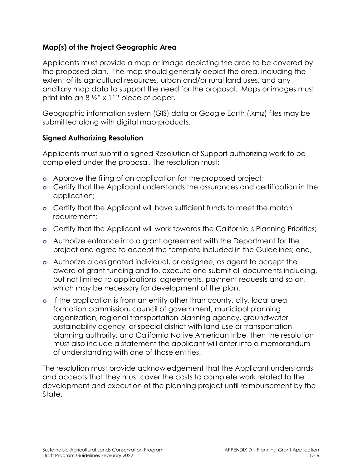# **Map(s) of the Project Geographic Area**

Applicants must provide a map or image depicting the area to be covered by the proposed plan. The map should generally depict the area, including the extent of its agricultural resources, urban and/or rural land uses, and any ancillary map data to support the need for the proposal. Maps or images must print into an  $8\frac{1}{2}$ " x 11" piece of paper.

Geographic information system (GIS) data or Google Earth (.kmz) files may be submitted along with digital map products.

### **Signed Authorizing Resolution**

Applicants must submit a signed Resolution of Support authorizing work to be completed under the proposal. The resolution must:

- **o** Approve the filing of an application for the proposed project;
- **o** Certify that the Applicant understands the assurances and certification in the application;
- **o** Certify that the Applicant will have sufficient funds to meet the match requirement;
- **o** Certify that the Applicant will work towards the California's Planning Priorities;
- **o** Authorize entrance into a grant agreement with the Department for the project and agree to accept the template included in the Guidelines; and,
- **o** Authorize a designated individual, or designee, as agent to accept the award of grant funding and to, execute and submit all documents including, but not limited to applications, agreements, payment requests and so on, which may be necessary for development of the plan.
- **o** If the application is from an entity other than county, city, local area formation commission, council of government, municipal planning organization, regional transportation planning agency, groundwater sustainability agency, or special district with land use or transportation planning authority, and California Native American tribe, then the resolution must also include a statement the applicant will enter into a memorandum of understanding with one of those entities.

The resolution must provide acknowledgement that the Applicant understands and accepts that they must cover the costs to complete work related to the development and execution of the planning project until reimbursement by the State.